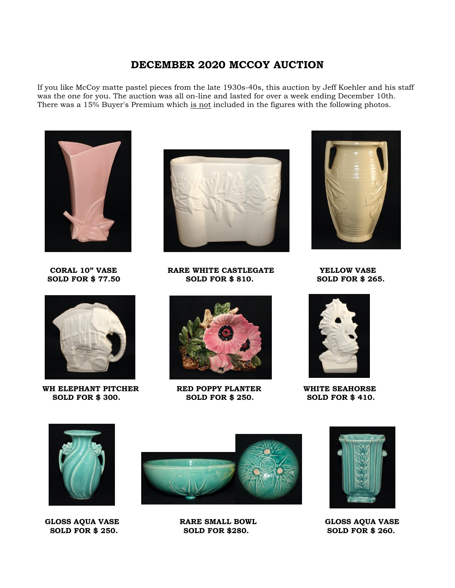## **DECEMBER 2020 MCCOY AUCTION**

If you like McCoy matte pastel pieces from the late 1930s-40s, this auction by Jeff Koehler and his staff was the one for you. The auction was all on-line and lasted for over a week ending December 10th. There was a 15% Buyer's Premium which is not included in the figures with the following photos.





WH ELEPHANT PITCHER **RED POPPY PLANTER** WHITE SEAHORSE **SOLD FOR \$300.** SOLD FOR \$410.  **SOLD FOR \$ 300. SOLD FOR \$ 250. SOLD FOR \$ 410.** 



**CORAL 10" VASE RARE WHITE CASTLEGATE YELLOW VASE SOLD FOR \$ 77.50 SOLD FOR \$ 810. SOLD FOR \$ 265.** 











GLOSS AQUA VASE **RARE SMALL BOWL** GLOSS AQUA VASE **SOLD FOR \$250.** SOLD FOR \$250. **SOLD FOR \$280.** 

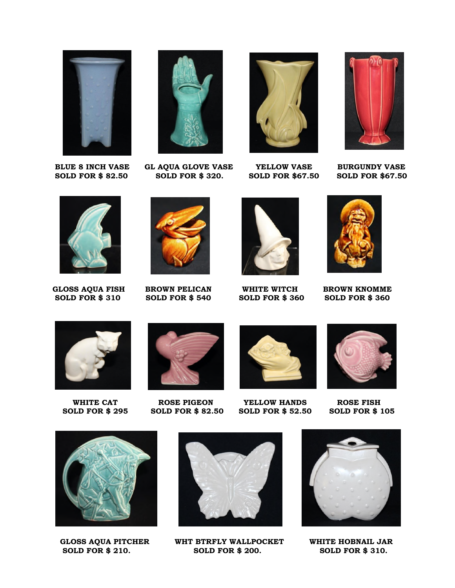

**SOLD FOR \$82.50** 



**BLUE 8 INCH VASE GL AQUA GLOVE VASE YELLOW VASE BURGUNDY VASE SOLD FOR \$82.50 SOLD FOR \$67.50** 







 **GLOSS AQUA FISH BROWN PELICAN WHITE WITCH BROWN KNOMME SOLD FOR \$ 310 SOLD FOR \$ 540 SOLD FOR \$ 360 SOLD FOR \$ 360** 











WHITE CAT **ROSE PIGEON** YELLOW HANDS ROSE FISH<br>
ULD FOR \$ 295 SOLD FOR \$ 82.50 SOLD FOR \$ 52.50 SOLD FOR \$ 105 **SOLD FOR \$ 295 SOLD FOR \$ 82.50 SOLD FOR \$ 52.50** 







**SOLD FOR \$ 210.** 



GLOSS AQUA PITCHER WHT BTRFLY WALLPOCKET WHITE HOBNAIL JAR<br>
SOLD FOR \$ 210. SOLD FOR \$ 200. SOLD FOR \$ 310.

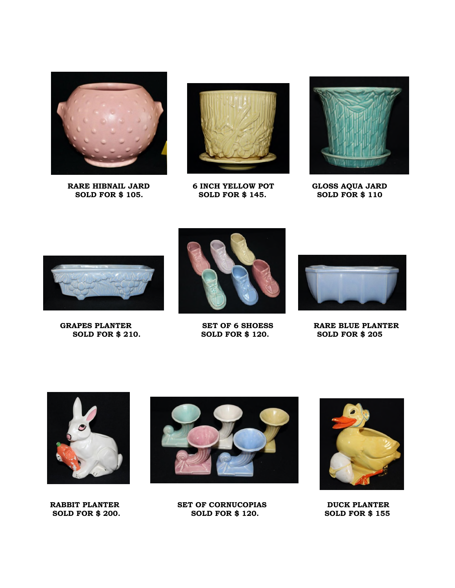

**SOLD FOR \$ 105.** 



**RARE HIBNAIL JARD** 6 INCH YELLOW POT GLOSS AQUA JARD SOLD FOR \$ 100







 **SOLD FOR \$ 210. SOLD FOR \$ 120. SOLD FOR \$ 205** 



GRAPES PLANTER SET OF 6 SHOESS RARE BLUE PLANTER





**RABBIT PLANTER SET OF CORNUCOPIAS DUCK PLANTER SOLD FOR \$ 200. SOLD FOR \$ 120. SOLD FOR \$ 155**